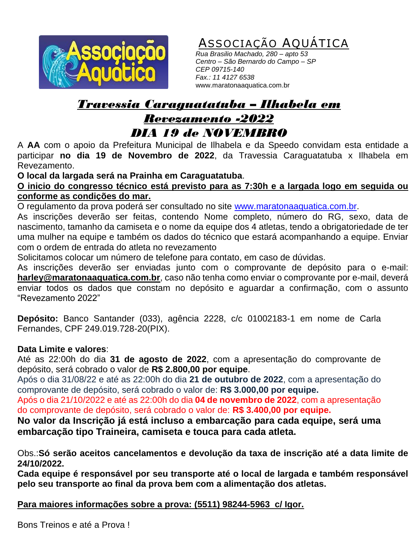

ASSOCIAÇÃO AQUATICA

 *Rua Brasilio Machado, 280 – apto 53 Centro – São Bernardo do Campo – SP CEP 09715-140 Fax.: 11 4127 6538* www.maratonaaquatica.com.br

## *Travessia Caraguatatuba – Ilhabela em Revezamento -2022 DIA 19 de NOVEMBRO*

A **AA** com o apoio da Prefeitura Municipal de Ilhabela e da Speedo convidam esta entidade a participar **no dia 19 de Novembro de 2022**, da Travessia Caraguatatuba x Ilhabela em Revezamento.

**O local da largada será na Prainha em Caraguatatuba**.

**O inicio do congresso técnico está previsto para as 7:30h e a largada logo em seguida ou conforme as condições do mar.**

O regulamento da prova poderá ser consultado no site [www.maratonaaquatica.com.br.](http://www.maratonaaquatica.com.br/)

As inscrições deverão ser feitas, contendo Nome completo, número do RG, sexo, data de nascimento, tamanho da camiseta e o nome da equipe dos 4 atletas, tendo a obrigatoriedade de ter uma mulher na equipe e também os dados do técnico que estará acompanhando a equipe. Enviar com o ordem de entrada do atleta no revezamento

Solicitamos colocar um número de telefone para contato, em caso de dúvidas.

As inscrições deverão ser enviadas junto com o comprovante de depósito para o e-mail: **[harley@maratonaaquatica.com.br](mailto:harley@maratonaaquatica.com.br)**, caso não tenha como enviar o comprovante por e-mail, deverá enviar todos os dados que constam no depósito e aguardar a confirmação, com o assunto "Revezamento 2022"

**Depósito:** Banco Santander (033), agência 2228, c/c 01002183-1 em nome de Carla Fernandes, CPF 249.019.728-20(PIX).

## **Data Limite e valores**:

Até as 22:00h do dia **31 de agosto de 2022**, com a apresentação do comprovante de depósito, será cobrado o valor de **R\$ 2.800,00 por equipe**.

Após o dia 31/08/22 e até as 22:00h do dia **21 de outubro de 2022**, com a apresentação do comprovante de depósito, será cobrado o valor de: **R\$ 3.000,00 por equipe.**

Após o dia 21/10/2022 e até as 22:00h do dia **04 de novembro de 2022**, com a apresentação do comprovante de depósito, será cobrado o valor de: **R\$ 3.400,00 por equipe.**

**No valor da Inscrição já está incluso a embarcação para cada equipe, será uma embarcação tipo Traineira, camiseta e touca para cada atleta.**

Obs.:**Só serão aceitos cancelamentos e devolução da taxa de inscrição até a data limite de 24/10/2022.** 

**Cada equipe é responsável por seu transporte até o local de largada e também responsável pelo seu transporte ao final da prova bem com a alimentação dos atletas.**

**Para maiores informações sobre a prova: (5511) 98244-5963 c/ Igor.**

Bons Treinos e até a Prova !